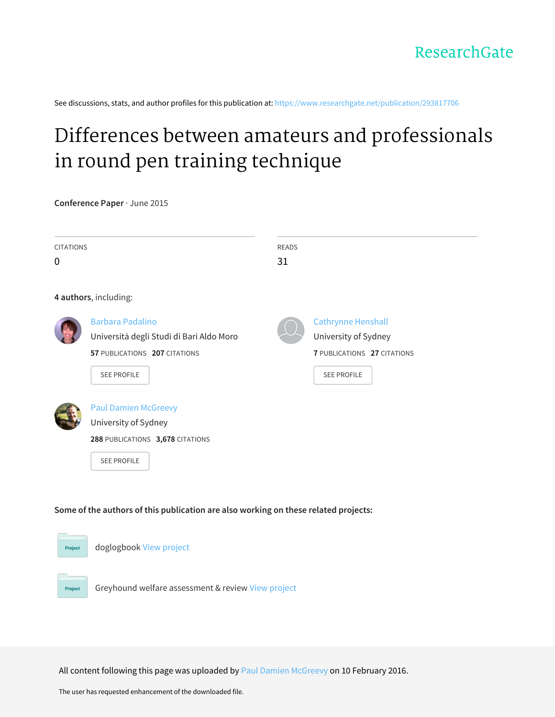See discussions, stats, and author profiles for this publication at: [https://www.researchgate.net/publication/293817706](https://www.researchgate.net/publication/293817706_Differences_between_amateurs_and_professionals_in_round_pen_training_technique?enrichId=rgreq-b7ee3f41cf708e42e02c348a963190a5-XXX&enrichSource=Y292ZXJQYWdlOzI5MzgxNzcwNjtBUzozMjc3MzA1NzYwMTk0NTZAMTQ1NTE0ODQ2NjgzMw%3D%3D&el=1_x_2&_esc=publicationCoverPdf)

## Differences between amateurs and [professionals](https://www.researchgate.net/publication/293817706_Differences_between_amateurs_and_professionals_in_round_pen_training_technique?enrichId=rgreq-b7ee3f41cf708e42e02c348a963190a5-XXX&enrichSource=Y292ZXJQYWdlOzI5MzgxNzcwNjtBUzozMjc3MzA1NzYwMTk0NTZAMTQ1NTE0ODQ2NjgzMw%3D%3D&el=1_x_3&_esc=publicationCoverPdf) in round pen training technique

**Conference Paper** · June 2015

| <b>CITATIONS</b><br>$\mathbf 0$ |                                                                                                                            | <b>READS</b><br>31 |                                                                                                        |
|---------------------------------|----------------------------------------------------------------------------------------------------------------------------|--------------------|--------------------------------------------------------------------------------------------------------|
|                                 | 4 authors, including:                                                                                                      |                    |                                                                                                        |
|                                 | <b>Barbara Padalino</b><br>Università degli Studi di Bari Aldo Moro<br>57 PUBLICATIONS 207 CITATIONS<br><b>SEE PROFILE</b> |                    | <b>Cathrynne Henshall</b><br>University of Sydney<br>7 PUBLICATIONS 27 CITATIONS<br><b>SEE PROFILE</b> |
|                                 | <b>Paul Damien McGreevy</b><br>University of Sydney<br>288 PUBLICATIONS 3,678 CITATIONS<br><b>SEE PROFILE</b>              |                    |                                                                                                        |

**Some of the authors of this publication are also working on these related projects:**



All content following this page was uploaded by Paul Damien [McGreevy](https://www.researchgate.net/profile/Paul_Mcgreevy2?enrichId=rgreq-b7ee3f41cf708e42e02c348a963190a5-XXX&enrichSource=Y292ZXJQYWdlOzI5MzgxNzcwNjtBUzozMjc3MzA1NzYwMTk0NTZAMTQ1NTE0ODQ2NjgzMw%3D%3D&el=1_x_10&_esc=publicationCoverPdf) on 10 February 2016.